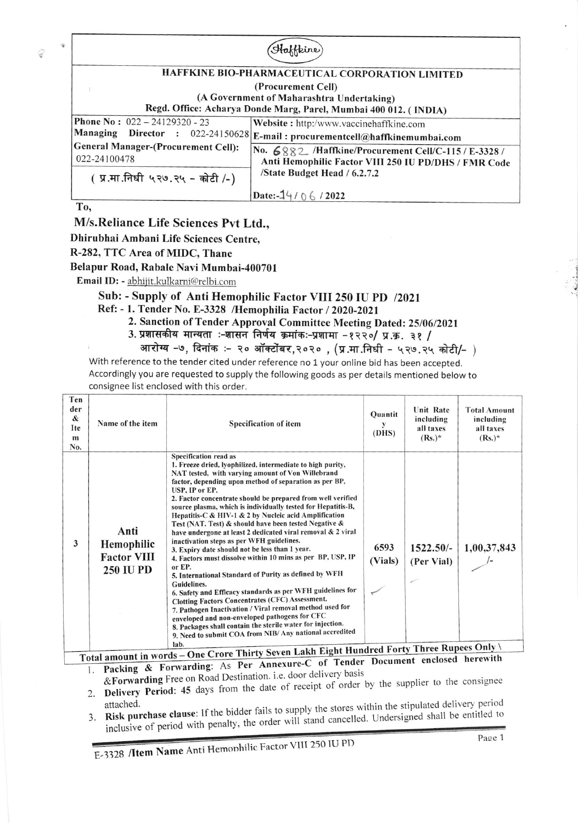

## M/s.Reliance Life Sciences Pvt Ltd.,

Dhirubhai Ambani Life Sciences Centre,

R-282, TTC Area of MIDC, Thane

## Belapur Road, Rabale Navi Mumbai-400701

Email ID: - abhiiit.kulkarni@relbi.com

## Sub: - Supply of Anti Hemophilic Factor VIII 250 IU PD /2021

- Ref: 1. Tender No. E-3328 /Hemophilia Factor / 2020-2021
	- 2. Sanction of Tender Approval Committee Meeting Dated: 25/06/2021
		- 3. प्रशासकीय मान्यता :-शासन निर्णय क्रमांकः-प्रशामा -१२२०/ प्र.क्र. ३१ /
			- आरोग्य –७, दिनांक :– २० ऑक्टोंबर,२०२० , (प्र.मा.निधी ५२७.२५ कोटी/-  $\,$

With reference to the tender cited under reference no 1 your online bid has been accepted. Accordingly you are requested to supply the following goods as per details mentioned below to consignee list enclosed with this order.

| Ten<br>der<br>&<br>Ite<br>m<br>No. | Name of the item                                             | Specification of item                                                                                                                                                                                                                                                                                                                                                                                                                                                                                                                                                                                                                                                                                                                                                                                                                                                                                                                                                                                                                                                                                                                                                                                                                 | Quantit<br>y<br>(DHS) | <b>Unit Rate</b><br>including<br>all taxes<br>$(Rs.)^*$ | <b>Total Amount</b><br>including<br>all taxes<br>$(Rs.)^*$ |
|------------------------------------|--------------------------------------------------------------|---------------------------------------------------------------------------------------------------------------------------------------------------------------------------------------------------------------------------------------------------------------------------------------------------------------------------------------------------------------------------------------------------------------------------------------------------------------------------------------------------------------------------------------------------------------------------------------------------------------------------------------------------------------------------------------------------------------------------------------------------------------------------------------------------------------------------------------------------------------------------------------------------------------------------------------------------------------------------------------------------------------------------------------------------------------------------------------------------------------------------------------------------------------------------------------------------------------------------------------|-----------------------|---------------------------------------------------------|------------------------------------------------------------|
| 3                                  | Anti<br>Hemophilic<br><b>Factor VIII</b><br><b>250 IU PD</b> | <b>Specification read as</b><br>1. Freeze dried, Ivophilized, intermediate to high purity,<br>NAT tested, with varying amount of Von Willebrand<br>factor, depending upon method of separation as per BP,<br>USP, IP or EP.<br>2. Factor concentrate should be prepared from well verified<br>source plasma, which is individually tested for Hepatitis-B,<br>Hepatitis-C & HIV-1 & 2 by Nucleic acid Amplification<br>Test (NAT. Test) & should have been tested Negative &<br>have undergone at least 2 dedicated viral removal & 2 viral<br>inactivation steps as per WFH guidelines.<br>3. Expiry date should not be less than 1 year.<br>4. Factors must dissolve within 10 mins as per BP, USP, IP<br>or EP.<br>5. International Standard of Purity as defined by WFH<br>Guidelines.<br>6. Safety and Efficacy standards as per WFH guidelines for<br><b>Clotting Factors Concentrates (CFC) Assessment.</b><br>7. Pathogen Inactivation / Viral removal method used for<br>enveloped and non-enveloped pathogens for CFC<br>8. Packages shall contain the sterile water for injection.<br>9. Need to submit COA from NIB/ Any national accredited<br>lab.<br>One Cuern Thirty Seven Lakh Fight Hundred Forty Three Rupees Only | 6593<br>(Vials)       | $1522.50/-$<br>(Per Vial)                               | 1,00,37,843                                                |

 $\frac{d\text{d}z}{dt}$  mount in words – One Croce Timey Seven  $\frac{d\text{d}z}{dt}$  of Tender Document enclosed herewith  $\frac{d\text{d}z}{dt}$ . Packing & Forwarding: As Per Annexure-C of Tender Document enclosed herewith Total amount in words - One Crore Thirty Seven Lak Total amount in words – One Crore Thirty Seven Lakh Eight Hundred Forty Three Rupees Onl<br>Total amount in words – One Crore Thirty Seven Lakh Eight Hundred Forty Three Rupees Onl

- &Forwarding Free on Road Destination. i.e. door delivery basis 2. Delivery Period: 45 days from the date of receipt of order by the supplier to the consignee
- attached.<br>**Risk purchase clause**: If the bidder fails to supply the stores within the stipulated delivery period<br>**Risk purchase clause**: If the bidder fails to supply the stores within the stipulated shall be entitled to inclusive of period with penalty, the order will  $3.$

E-3328 /Item Name Anti Hemonhilic Factor VIII 250 IU PD